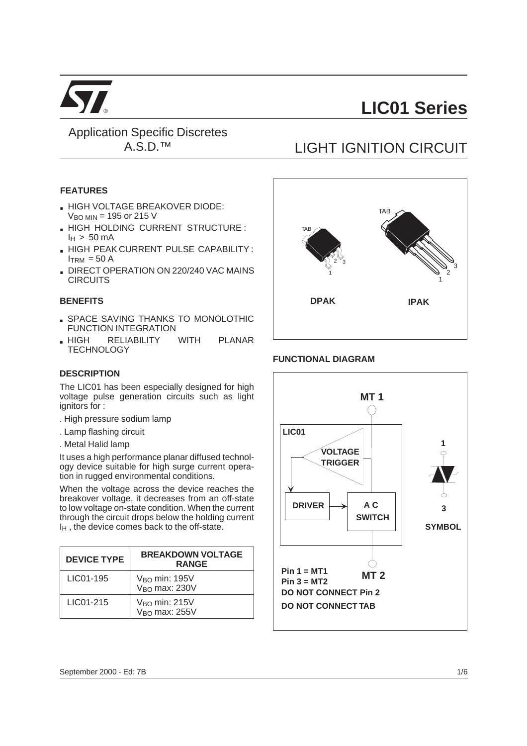

Application Specific Discretes A.S.D.™

#### **FEATURES**

- **. HIGH VOLTAGE BREAKOVER DIODE:**  $V<sub>BO MIN</sub> = 195$  or 215 V
- **. HIGH HOLDING CURRENT STRUCTURE :**  $I_H$  > 50 mA
- **. HIGH PEAK CURRENT PULSE CAPABILITY:**  $I<sub>TRM</sub> = 50 A$
- **DIRECT OPERATION ON 220/240 VAC MAINS CIRCUITS**

#### **BENEFITS**

- **. SPACE SAVING THANKS TO MONOLOTHIC** FUNCTION INTEGRATION
- . HIGH RELIABILITY WITH PLANAR **TECHNOLOGY**

#### **DESCRIPTION**

The LIC01 has been especially designed for high voltage pulse generation circuits such as light ignitors for :

- . High pressure sodium lamp
- . Lamp flashing circuit
- . Metal Halid lamp

It uses a high performance planar diffused technology device suitable for high surge current operation in rugged environmental conditions.

When the voltage across the device reaches the breakover voltage, it decreases from an off-state to low voltage on-state condition. When the current through the circuit drops below the holding current  $I_H$ , the device comes back to the off-state.

| <b>DEVICE TYPE</b> | <b>BREAKDOWN VOLTAGE</b><br><b>RANGE</b>        |
|--------------------|-------------------------------------------------|
| LIC01-195          | V <sub>BO</sub> min: 195V<br>$VBO$ max: 230 $V$ |
| LIC01-215          | $V_{BO}$ min: 215 $V$<br>$VBO$ max: 255 $V$     |

# LIGHT IGNITION CIRCUIT



#### **FUNCTIONAL DIAGRAM**

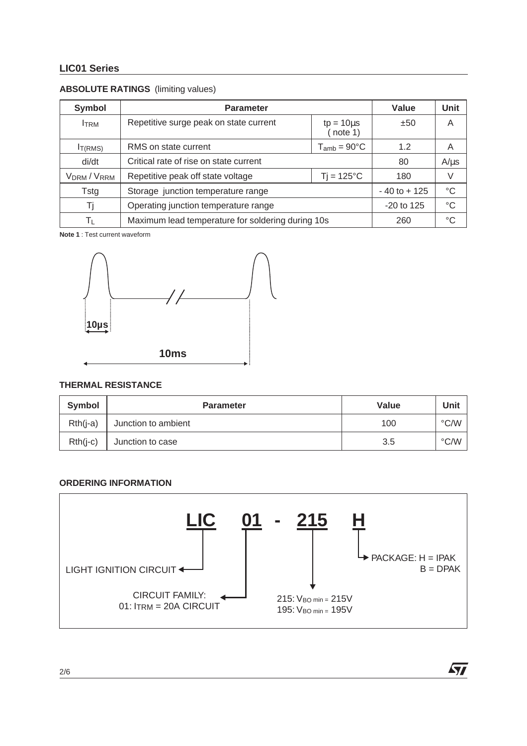# **ABSOLUTE RATINGS** (limiting values)

| <b>Symbol</b>                       | <b>Parameter</b>                                  | Value           | Unit        |
|-------------------------------------|---------------------------------------------------|-----------------|-------------|
| <b>ITRM</b>                         | Repetitive surge peak on state current            | ±50             | A           |
| IT(RMS)                             | RMS on state current                              | 1.2             | Α           |
| di/dt                               | Critical rate of rise on state current            | 80              | $A/\mu s$   |
| V <sub>DRM</sub> / V <sub>RRM</sub> | Repetitive peak off state voltage                 | 180             | V           |
| Tstg                                | Storage junction temperature range                | $-40$ to $+125$ | $^{\circ}C$ |
|                                     | Operating junction temperature range              | $-20$ to 125    | °C          |
| Tτ                                  | Maximum lead temperature for soldering during 10s | 260             | °C          |

**Note 1** : Test current waveform



#### **THERMAL RESISTANCE**

| Symbol     | <b>Parameter</b>    | Value | Unit          |
|------------|---------------------|-------|---------------|
| $Rth(i-a)$ | Junction to ambient | 100   | $\degree$ C/W |
| $Rth(i-c)$ | Junction to case    | 3.5   | $\degree$ C/W |

#### **ORDERING INFORMATION**



 $\sqrt{M}$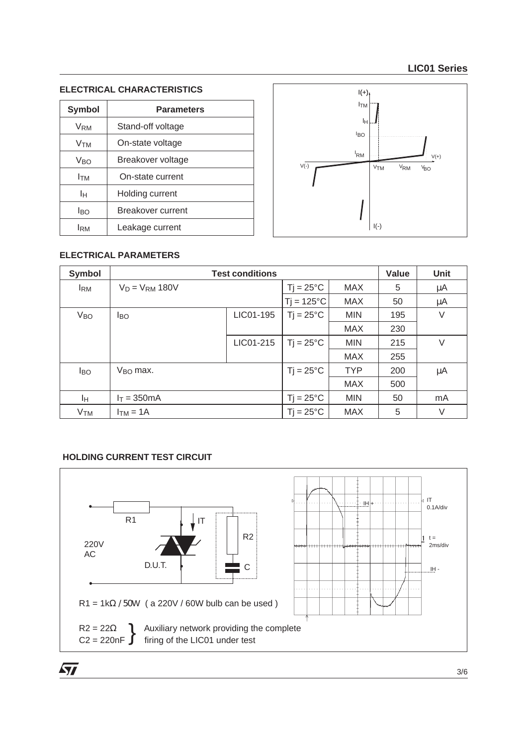# **ELECTRICAL CHARACTERISTICS**

| <b>Symbol</b>   | <b>Parameters</b> |  |  |
|-----------------|-------------------|--|--|
| V <sub>RM</sub> | Stand-off voltage |  |  |
| Vтм             | On-state voltage  |  |  |
| Vro             | Breakover voltage |  |  |
| Ітм             | On-state current  |  |  |
| Iн              | Holding current   |  |  |
| Iво             | Breakover current |  |  |
| Iвм             | Leakage current   |  |  |



# **ELECTRICAL PARAMETERS**

| <b>Symbol</b>         | <b>Test conditions</b> | Value     | <b>Unit</b>         |            |     |    |
|-----------------------|------------------------|-----------|---------------------|------------|-----|----|
| <b>IRM</b>            | $V_D = V_{RM} 180V$    |           | $Ti = 25^{\circ}C$  | <b>MAX</b> | 5   | μA |
|                       |                        |           | $Ti = 125^{\circ}C$ | <b>MAX</b> | 50  | μA |
| <b>V<sub>BO</sub></b> | <b>I</b> BO            | LIC01-195 | $Ti = 25^{\circ}C$  | <b>MIN</b> | 195 | V  |
|                       |                        |           |                     | <b>MAX</b> | 230 |    |
|                       |                        | LIC01-215 | $Ti = 25^{\circ}C$  | <b>MIN</b> | 215 | V  |
|                       |                        |           |                     | <b>MAX</b> | 255 |    |
| <b>I</b> BO           | $V_{\rm BO}$ max.      |           | $Tj = 25^{\circ}C$  | <b>TYP</b> | 200 | μA |
|                       |                        |           |                     | <b>MAX</b> | 500 |    |
| Iн.                   | $I_T = 350mA$          |           | $Ti = 25^{\circ}C$  | <b>MIN</b> | 50  | mA |
| <b>V<sub>TM</sub></b> | $ITM = 1A$             |           | $Ti = 25^{\circ}C$  | <b>MAX</b> | 5   | V  |

## **HOLDING CURRENT TEST CIRCUIT**

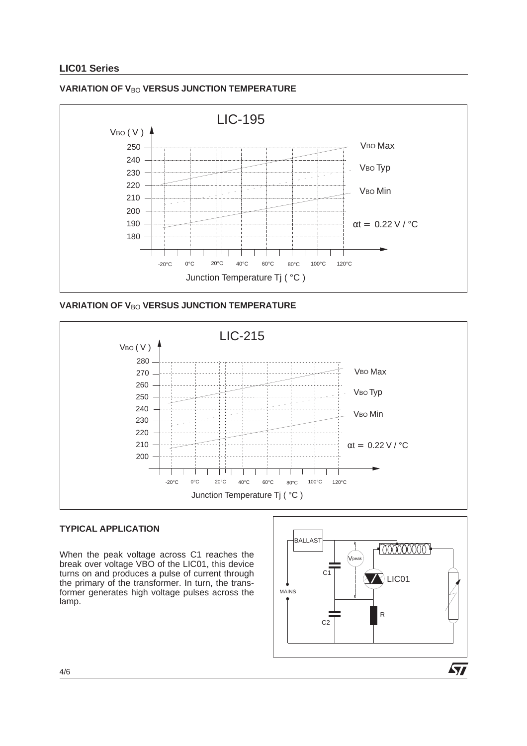

#### **VARIATION OF VBO VERSUS JUNCTION TEMPERATURE**





#### **TYPICAL APPLICATION**

When the peak voltage across C1 reaches the break over voltage VBO of the LIC01, this device turns on and produces a pulse of current through the primary of the transformer. In turn, the transformer generates high voltage pulses across the lamp.

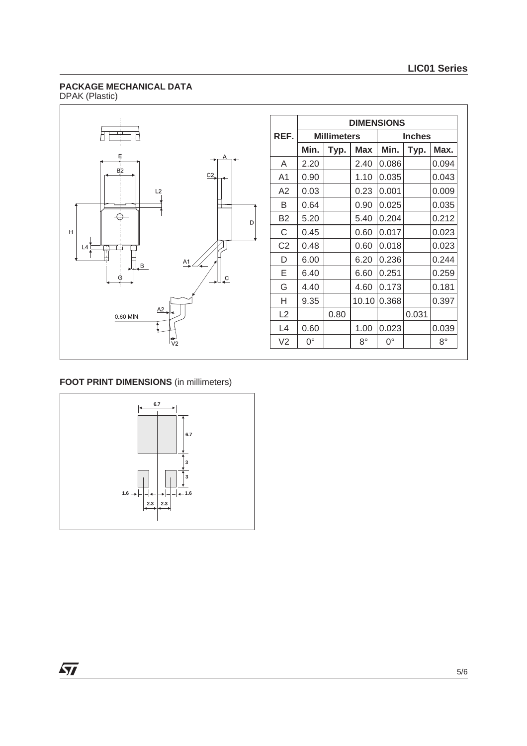#### **PACKAGE MECHANICAL DATA** DPAK (Plastic)



|                | <b>DIMENSIONS</b>  |      |             |               |       |             |  |
|----------------|--------------------|------|-------------|---------------|-------|-------------|--|
| REF.           | <b>Millimeters</b> |      |             | <b>Inches</b> |       |             |  |
|                | Min.               | Typ. | <b>Max</b>  | Min.          | Typ.  | Max.        |  |
| A              | 2.20               |      | 2.40        | 0.086         |       | 0.094       |  |
| A1             | 0.90               |      | 1.10        | 0.035         |       | 0.043       |  |
| A2             | 0.03               |      | 0.23        | 0.001         |       | 0.009       |  |
| B              | 0.64               |      | 0.90        | 0.025         |       | 0.035       |  |
| <b>B2</b>      | 5.20               |      | 5.40        | 0.204         |       | 0.212       |  |
| C              | 0.45               |      | 0.60        | 0.017         |       | 0.023       |  |
| C <sub>2</sub> | 0.48               |      | 0.60        | 0.018         |       | 0.023       |  |
| D              | 6.00               |      | 6.20        | 0.236         |       | 0.244       |  |
| E              | 6.40               |      | 6.60        | 0.251         |       | 0.259       |  |
| G              | 4.40               |      | 4.60        | 0.173         |       | 0.181       |  |
| н              | 9.35               |      | 10.10       | 0.368         |       | 0.397       |  |
| L2             |                    | 0.80 |             |               | 0.031 |             |  |
| L4             | 0.60               |      | 1.00        | 0.023         |       | 0.039       |  |
| V <sub>2</sub> | $0^{\circ}$        |      | $8^{\circ}$ | $0^{\circ}$   |       | $8^{\circ}$ |  |

# **FOOT PRINT DIMENSIONS** (in millimeters)



 $\sqrt{27}$